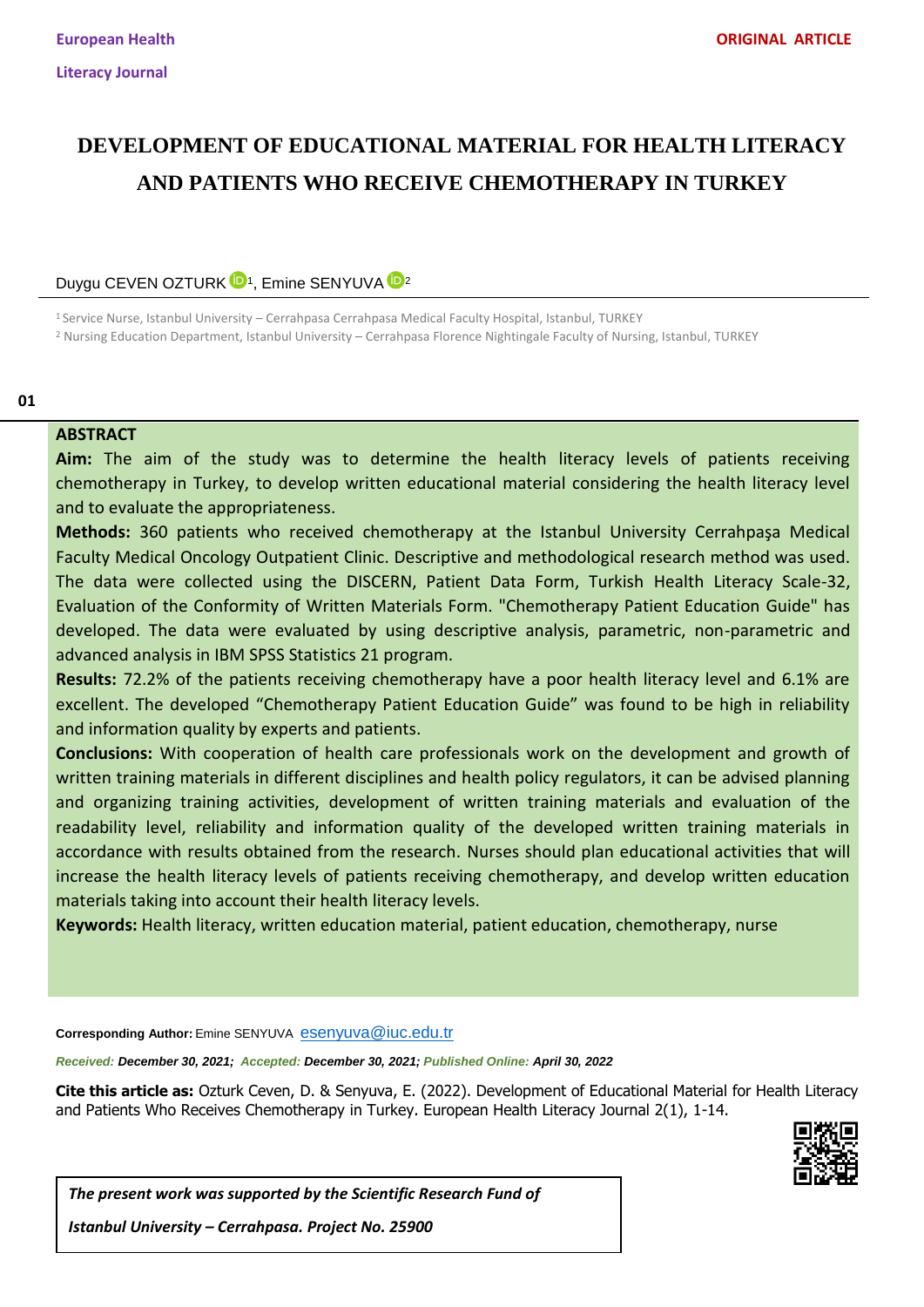# **DEVELOPMENT OF EDUCATIONAL MATERIAL FOR HEALTH LITERACY AND PATIENTS WHO RECEIVE CHEMOTHERAPY IN TURKEY**

Duygu CEVEN OZTURK<sup>ID1</sup>, Emine SENYUVA<sup>ID 2</sup>

<sup>1</sup> Service Nurse, Istanbul University – Cerrahpasa Cerrahpasa Medical Faculty Hospital, Istanbul, TURKEY <sup>2</sup> Nursing Education Department, Istanbul University – Cerrahpasa Florence Nightingale Faculty of Nursing, Istanbul, TURKEY

**01**

### **ABSTRACT**

**Aim:** The aim of the study was to determine the health literacy levels of patients receiving chemotherapy in Turkey, to develop written educational material considering the health literacy level and to evaluate the appropriateness.

**Methods:** 360 patients who received chemotherapy at the Istanbul University Cerrahpaşa Medical Faculty Medical Oncology Outpatient Clinic. Descriptive and methodological research method was used. The data were collected using the DISCERN, Patient Data Form, Turkish Health Literacy Scale-32, Evaluation of the Conformity of Written Materials Form. "Chemotherapy Patient Education Guide" has developed. The data were evaluated by using descriptive analysis, parametric, non-parametric and advanced analysis in IBM SPSS Statistics 21 program.

**Results:** 72.2% of the patients receiving chemotherapy have a poor health literacy level and 6.1% are excellent. The developed "Chemotherapy Patient Education Guide" was found to be high in reliability and information quality by experts and patients.

**Conclusions:** With cooperation of health care professionals work on the development and growth of written training materials in different disciplines and health policy regulators, it can be advised planning and organizing training activities, development of written training materials and evaluation of the readability level, reliability and information quality of the developed written training materials in accordance with results obtained from the research. Nurses should plan educational activities that will increase the health literacy levels of patients receiving chemotherapy, and develop written education materials taking into account their health literacy levels.

**Keywords:** Health literacy, written education material, patient education, chemotherapy, nurse

**Corresponding Author:** Emine SENYUVA <esenyuva@iuc.edu.tr>

*Received: December 30, 2021; Accepted: December 30, 2021; Published Online: April 30, 2022*

**Cite this article as:** Ozturk Ceven, D. & Senyuva, E. (2022). Development of Educational Material for Health Literacy and Patients Who Receives Chemotherapy in Turkey. European Health Literacy Journal 2(1), 1-14.



*The present work was supported by the Scientific Research Fund of* 

*Istanbul University – Cerrahpasa. Project No. 25900*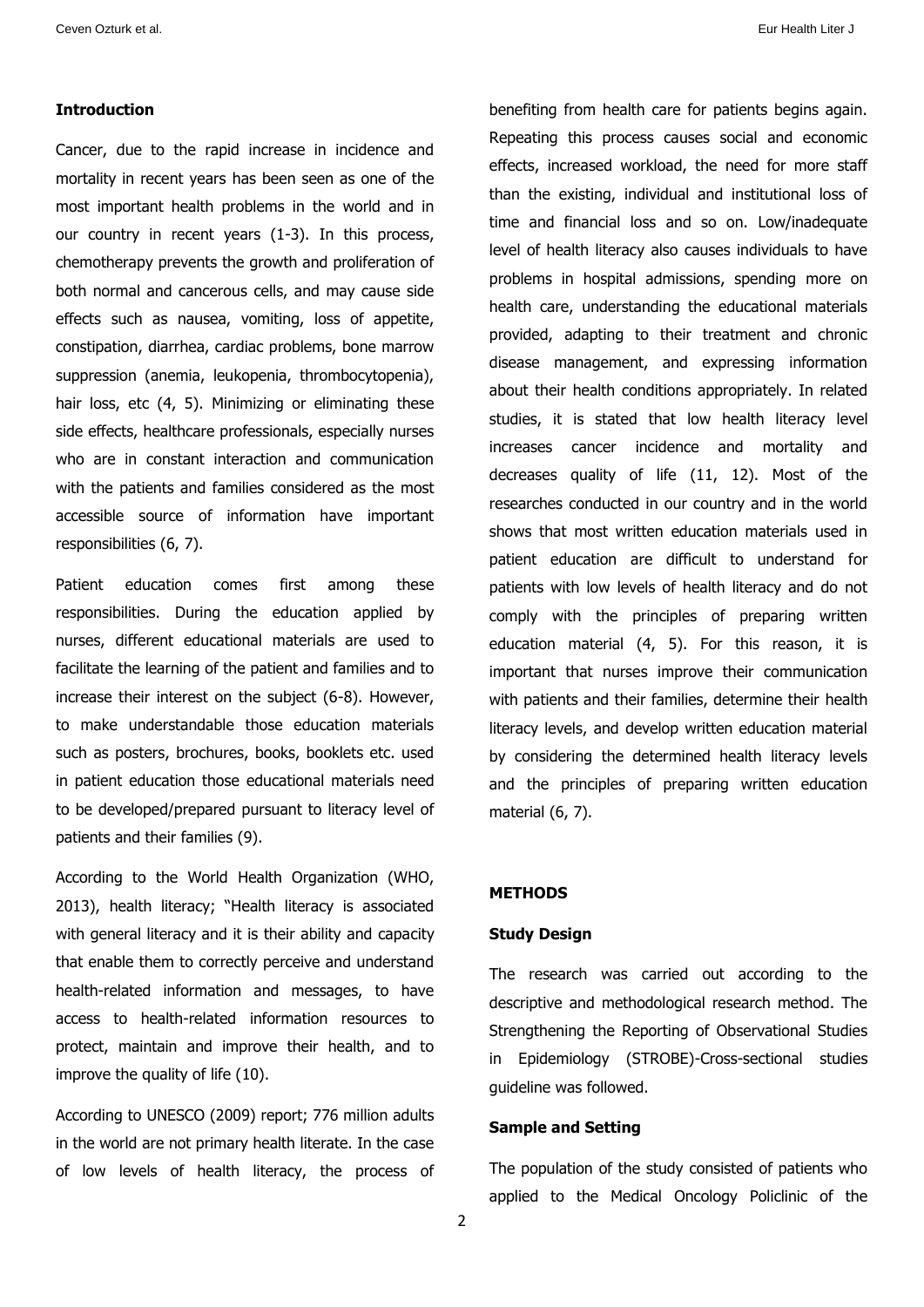### **Introduction**

Cancer, due to the rapid increase in incidence and mortality in recent years has been seen as one of the most important health problems in the world and in our country in recent years (1-3). In this process, chemotherapy prevents the growth and proliferation of both normal and cancerous cells, and may cause side effects such as nausea, vomiting, loss of appetite, constipation, diarrhea, cardiac problems, bone marrow suppression (anemia, leukopenia, thrombocytopenia), hair loss, etc (4, 5). Minimizing or eliminating these side effects, healthcare professionals, especially nurses who are in constant interaction and communication with the patients and families considered as the most accessible source of information have important responsibilities (6, 7).

Patient education comes first among these responsibilities. During the education applied by nurses, different educational materials are used to facilitate the learning of the patient and families and to increase their interest on the subject (6-8). However, to make understandable those education materials such as posters, brochures, books, booklets etc. used in patient education those educational materials need to be developed/prepared pursuant to literacy level of patients and their families (9).

According to the World Health Organization (WHO, 2013), health literacy; "Health literacy is associated with general literacy and it is their ability and capacity that enable them to correctly perceive and understand health-related information and messages, to have access to health-related information resources to protect, maintain and improve their health, and to improve the quality of life (10).

According to UNESCO (2009) report; 776 million adults in the world are not primary health literate. In the case of low levels of health literacy, the process of benefiting from health care for patients begins again. Repeating this process causes social and economic effects, increased workload, the need for more staff than the existing, individual and institutional loss of time and financial loss and so on. Low/inadequate level of health literacy also causes individuals to have problems in hospital admissions, spending more on health care, understanding the educational materials provided, adapting to their treatment and chronic disease management, and expressing information about their health conditions appropriately. In related studies, it is stated that low health literacy level increases cancer incidence and mortality and decreases quality of life (11, 12). Most of the researches conducted in our country and in the world shows that most written education materials used in patient education are difficult to understand for patients with low levels of health literacy and do not comply with the principles of preparing written education material (4, 5). For this reason, it is important that nurses improve their communication with patients and their families, determine their health literacy levels, and develop written education material by considering the determined health literacy levels and the principles of preparing written education material (6, 7).

### **METHODS**

#### **Study Design**

The research was carried out according to the descriptive and methodological research method. The Strengthening the Reporting of Observational Studies in Epidemiology (STROBE)-Cross-sectional studies guideline was followed.

#### **Sample and Setting**

The population of the study consisted of patients who applied to the Medical Oncology Policlinic of the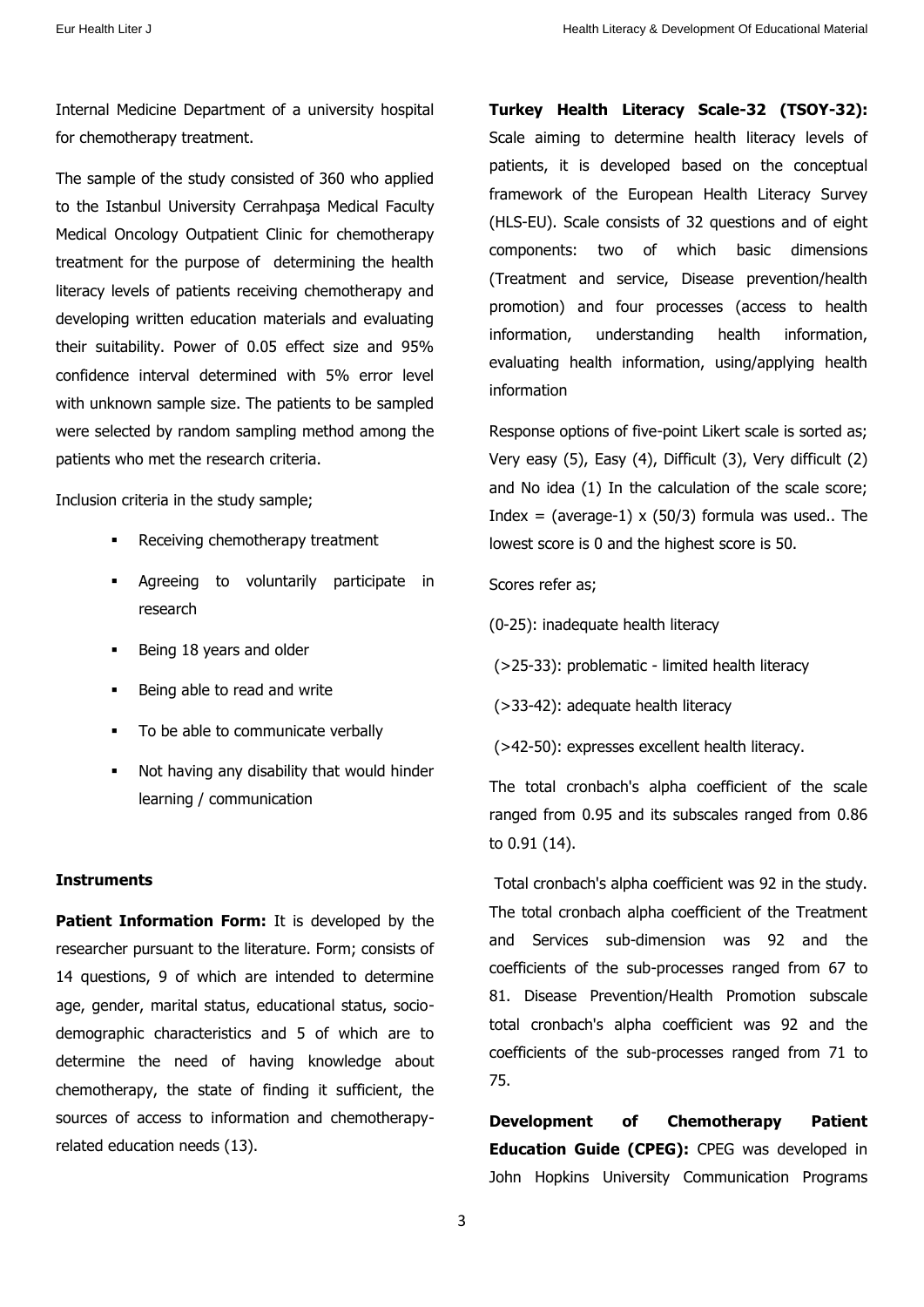Internal Medicine Department of a university hospital for chemotherapy treatment.

The sample of the study consisted of 360 who applied to the Istanbul University Cerrahpasa Medical Faculty Medical Oncology Outpatient Clinic for chemotherapy treatment for the purpose of determining the health literacy levels of patients receiving chemotherapy and developing written education materials and evaluating their suitability. Power of 0.05 effect size and 95% confidence interval determined with 5% error level with unknown sample size. The patients to be sampled were selected by random sampling method among the patients who met the research criteria.

Inclusion criteria in the study sample;

- Receiving chemotherapy treatment
- Agreeing to voluntarily participate in research
- Being 18 years and older
- Being able to read and write
- To be able to communicate verbally
- Not having any disability that would hinder learning / communication

#### **Instruments**

**Patient Information Form:** It is developed by the researcher pursuant to the literature. Form; consists of 14 questions, 9 of which are intended to determine age, gender, marital status, educational status, sociodemographic characteristics and 5 of which are to determine the need of having knowledge about chemotherapy, the state of finding it sufficient, the sources of access to information and chemotherapyrelated education needs (13).

**Turkey Health Literacy Scale-32 (TSOY-32):**  Scale aiming to determine health literacy levels of patients, it is developed based on the conceptual framework of the European Health Literacy Survey (HLS-EU). Scale consists of 32 questions and of eight components: two of which basic dimensions (Treatment and service, Disease prevention/health promotion) and four processes (access to health information, understanding health information, evaluating health information, using/applying health information

Response options of five-point Likert scale is sorted as; Very easy (5), Easy (4), Difficult (3), Very difficult (2) and No idea (1) In the calculation of the scale score; Index = (average-1)  $\times$  (50/3) formula was used.. The lowest score is 0 and the highest score is 50.

### Scores refer as;

- (0-25): inadequate health literacy
- (>25-33): problematic limited health literacy
- (>33-42): adequate health literacy
- (>42-50): expresses excellent health literacy.

The total cronbach's alpha coefficient of the scale ranged from 0.95 and its subscales ranged from 0.86 to 0.91 (14).

Total cronbach's alpha coefficient was 92 in the study. The total cronbach alpha coefficient of the Treatment and Services sub-dimension was 92 and the coefficients of the sub-processes ranged from 67 to 81. Disease Prevention/Health Promotion subscale total cronbach's alpha coefficient was 92 and the coefficients of the sub-processes ranged from 71 to 75.

**Development of Chemotherapy Patient Education Guide (CPEG):** CPEG was developed in John Hopkins University Communication Programs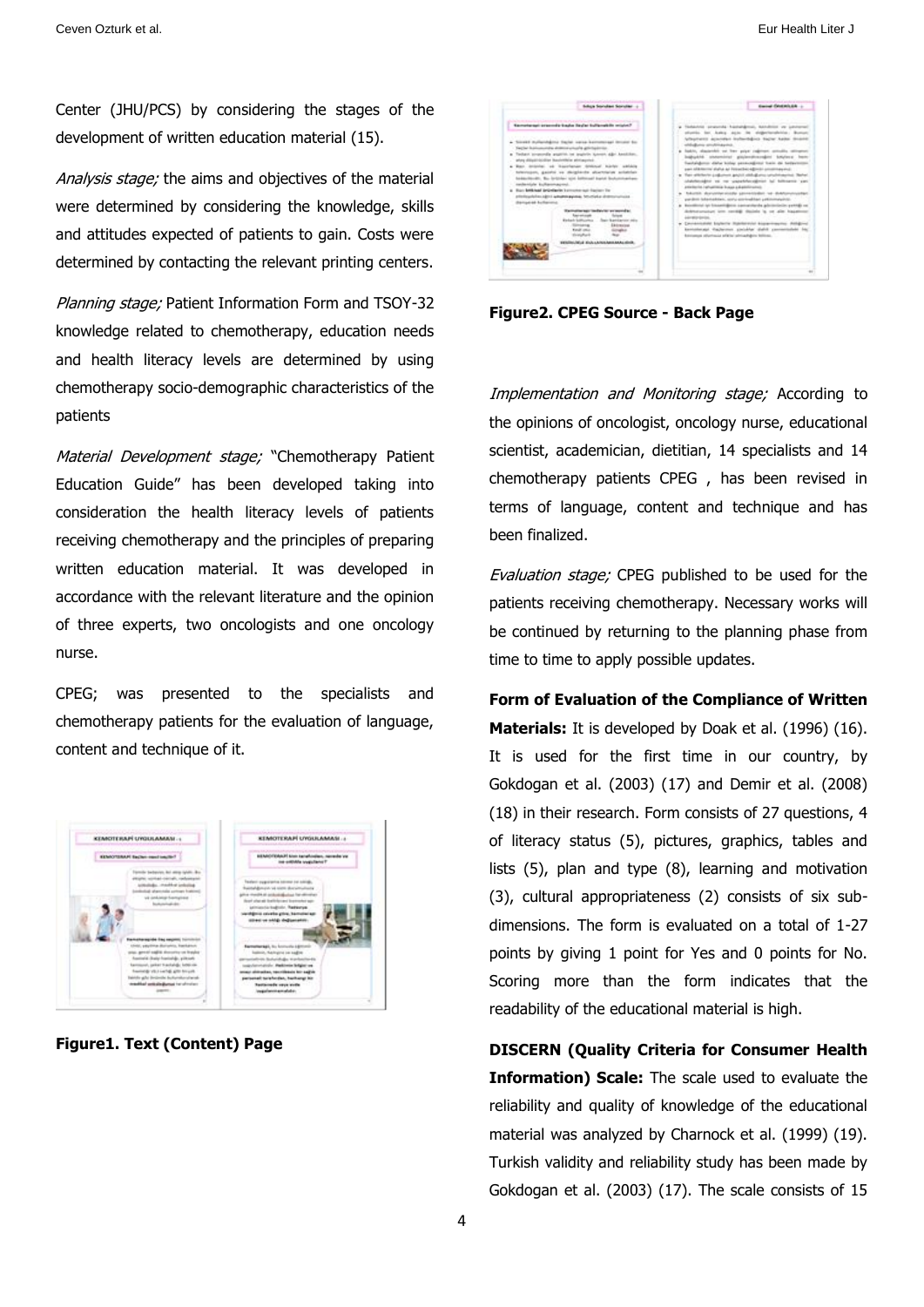Center (JHU/PCS) by considering the stages of the development of written education material (15).

Analysis stage; the aims and objectives of the material were determined by considering the knowledge, skills and attitudes expected of patients to gain. Costs were determined by contacting the relevant printing centers.

Planning stage; Patient Information Form and TSOY-32 knowledge related to chemotherapy, education needs and health literacy levels are determined by using chemotherapy socio-demographic characteristics of the patients

Material Development stage; "Chemotherapy Patient Education Guide" has been developed taking into consideration the health literacy levels of patients receiving chemotherapy and the principles of preparing written education material. It was developed in accordance with the relevant literature and the opinion of three experts, two oncologists and one oncology nurse.

CPEG; was presented to the specialists and chemotherapy patients for the evaluation of language, content and technique of it.



**Figure1. Text (Content) Page**

| Kemateraal organists kada italiai kulturakila mistafi<br>a Sicold Italiandalou back carsa kerominasi imusu bo-<br>Yestler businessman dramos unualis anticipalmias<br>Technik propostile gapping on popisite ignores algo Anadolaso.<br>plus diligatifacilitar basicilitar pintagonal.<br>Barn Antonial, ad Magiclander Middled Nachts, adduling<br>biterroom, gainful va deighinda abuntrialus achebian<br>behaviorelli, Bu brittier sin billional band bulunmarkeer<br>canderstate kulkaconaposal.<br>a. Buy britised briefarin homotopup harms for<br>atteiligadellen aldrit ladisdisk passa, Michael a drittminaliska<br><b>Bailadd Liferies</b><br>Remains an index to expended<br><b>Kindando Subliviariaca</b><br>State Austrian control<br>Ekimietea<br><b>Kingdome</b><br>existing held about a history and a series. | Terbente proposta hastatabous, bandous or prototed<br>stunts by Aska acts in eighthorships Bureau<br>Whethers acander includibles higher keite dealer<br>ablickans anotherapide<br>a fakto, stazionisti un trer gripe caliment concello colognosi<br>babukhi antenimal pialendirezakini bitylece hem<br>Easterdamer data kiday personalimed bain de betweeness<br>pain additioning shall at a literachies algorith annulinaux exit.<br>Two attribute pollutions goods statulizers sensite automobile States<br>statements as no capable officer to telescope you<br>americanism instructionism foundated and additionated<br>beater duranters and provided to definements<br>parallels labarisables, sorty controllian primonalphili-<br>kentilized at Examinibus agreedents administrate prettile on<br>dedicates and are received dealers in our also household<br>Advertising Concession<br>. Excessioned bulletie Radesville kopponentes Additive<br>kentakeugi italienen pielahar dahil pennentahan har<br>Renaus aberto is affile ablance billion. |
|--------------------------------------------------------------------------------------------------------------------------------------------------------------------------------------------------------------------------------------------------------------------------------------------------------------------------------------------------------------------------------------------------------------------------------------------------------------------------------------------------------------------------------------------------------------------------------------------------------------------------------------------------------------------------------------------------------------------------------------------------------------------------------------------------------------------------------|----------------------------------------------------------------------------------------------------------------------------------------------------------------------------------------------------------------------------------------------------------------------------------------------------------------------------------------------------------------------------------------------------------------------------------------------------------------------------------------------------------------------------------------------------------------------------------------------------------------------------------------------------------------------------------------------------------------------------------------------------------------------------------------------------------------------------------------------------------------------------------------------------------------------------------------------------------------------------------------------------------------------------------------------------------|

**Figure2. CPEG Source - Back Page**

Implementation and Monitoring stage; According to the opinions of oncologist, oncology nurse, educational scientist, academician, dietitian, 14 specialists and 14 chemotherapy patients CPEG , has been revised in terms of language, content and technique and has been finalized.

Evaluation stage; CPEG published to be used for the patients receiving chemotherapy. Necessary works will be continued by returning to the planning phase from time to time to apply possible updates.

**Form of Evaluation of the Compliance of Written Materials:** It is developed by Doak et al. (1996) (16). It is used for the first time in our country, by Gokdogan et al. (2003) (17) and Demir et al. (2008) (18) in their research. Form consists of 27 questions, 4 of literacy status (5), pictures, graphics, tables and lists (5), plan and type (8), learning and motivation (3), cultural appropriateness (2) consists of six subdimensions. The form is evaluated on a total of 1-27 points by giving 1 point for Yes and 0 points for No. Scoring more than the form indicates that the readability of the educational material is high.

**DISCERN (Quality Criteria for Consumer Health Information) Scale:** The scale used to evaluate the reliability and quality of knowledge of the educational material was analyzed by Charnock et al. (1999) (19). Turkish validity and reliability study has been made by Gokdogan et al. (2003) (17). The scale consists of 15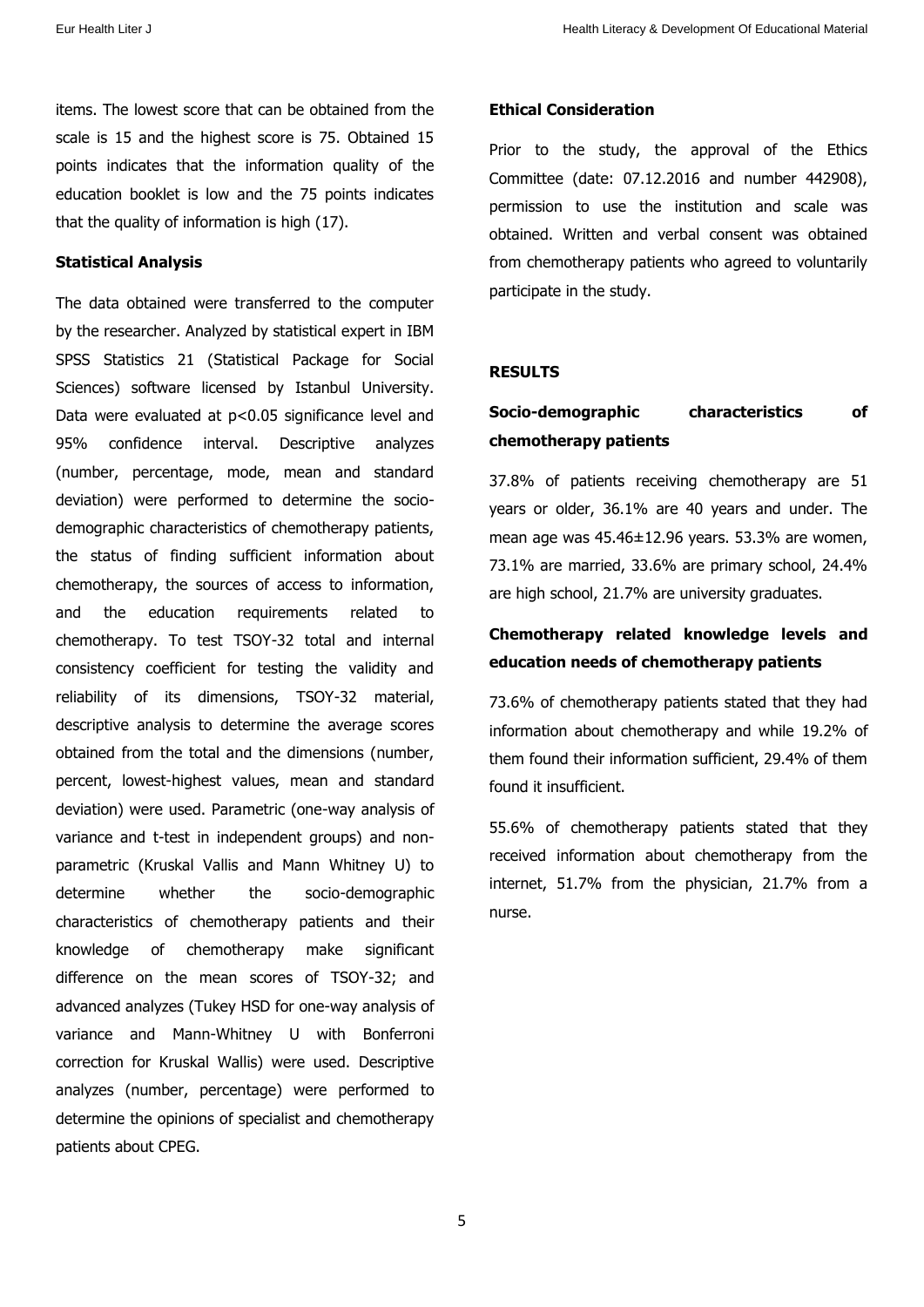items. The lowest score that can be obtained from the scale is 15 and the highest score is 75. Obtained 15 points indicates that the information quality of the education booklet is low and the 75 points indicates that the quality of information is high (17).

#### **Statistical Analysis**

The data obtained were transferred to the computer by the researcher. Analyzed by statistical expert in IBM SPSS Statistics 21 (Statistical Package for Social Sciences) software licensed by Istanbul University. Data were evaluated at p<0.05 significance level and 95% confidence interval. Descriptive analyzes (number, percentage, mode, mean and standard deviation) were performed to determine the sociodemographic characteristics of chemotherapy patients, the status of finding sufficient information about chemotherapy, the sources of access to information, and the education requirements related to chemotherapy. To test TSOY-32 total and internal consistency coefficient for testing the validity and reliability of its dimensions, TSOY-32 material, descriptive analysis to determine the average scores obtained from the total and the dimensions (number, percent, lowest-highest values, mean and standard deviation) were used. Parametric (one-way analysis of variance and t-test in independent groups) and nonparametric (Kruskal Vallis and Mann Whitney U) to determine whether the socio-demographic characteristics of chemotherapy patients and their knowledge of chemotherapy make significant difference on the mean scores of TSOY-32; and advanced analyzes (Tukey HSD for one-way analysis of variance and Mann-Whitney U with Bonferroni correction for Kruskal Wallis) were used. Descriptive analyzes (number, percentage) were performed to determine the opinions of specialist and chemotherapy patients about CPEG.

#### **Ethical Consideration**

Prior to the study, the approval of the Ethics Committee (date: 07.12.2016 and number 442908), permission to use the institution and scale was obtained. Written and verbal consent was obtained from chemotherapy patients who agreed to voluntarily participate in the study.

### **RESULTS**

### **Socio-demographic characteristics of chemotherapy patients**

37.8% of patients receiving chemotherapy are 51 years or older, 36.1% are 40 years and under. The mean age was 45.46±12.96 years. 53.3% are women, 73.1% are married, 33.6% are primary school, 24.4% are high school, 21.7% are university graduates.

### **Chemotherapy related knowledge levels and education needs of chemotherapy patients**

73.6% of chemotherapy patients stated that they had information about chemotherapy and while 19.2% of them found their information sufficient, 29.4% of them found it insufficient.

55.6% of chemotherapy patients stated that they received information about chemotherapy from the internet, 51.7% from the physician, 21.7% from a nurse.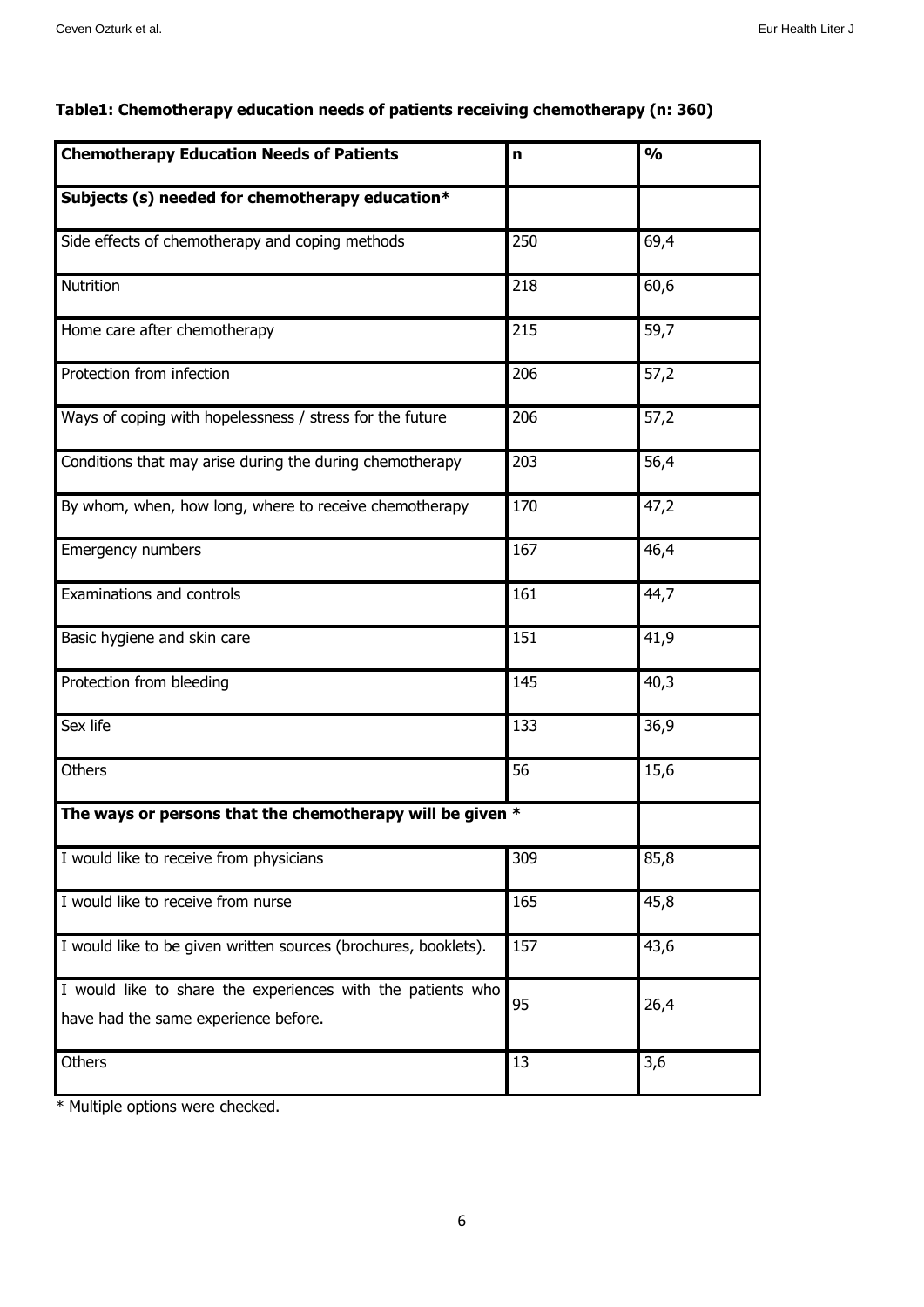| <b>Chemotherapy Education Needs of Patients</b>                                                     | $\mathbf n$ | $\overline{\frac{9}{6}}$ |
|-----------------------------------------------------------------------------------------------------|-------------|--------------------------|
| Subjects (s) needed for chemotherapy education*                                                     |             |                          |
| Side effects of chemotherapy and coping methods                                                     | 250         | 69,4                     |
| Nutrition                                                                                           | 218         | 60,6                     |
| Home care after chemotherapy                                                                        | 215         | 59,7                     |
| Protection from infection                                                                           | 206         | 57,2                     |
| Ways of coping with hopelessness / stress for the future                                            | 206         | 57,2                     |
| Conditions that may arise during the during chemotherapy                                            | 203         | 56,4                     |
| By whom, when, how long, where to receive chemotherapy                                              | 170         | 47,2                     |
| Emergency numbers                                                                                   | 167         | 46,4                     |
| Examinations and controls                                                                           | 161         | 44,7                     |
| Basic hygiene and skin care                                                                         | 151         | 41,9                     |
| Protection from bleeding                                                                            | 145         | 40,3                     |
| Sex life                                                                                            | 133         | 36,9                     |
| Others                                                                                              | 56          | 15,6                     |
| The ways or persons that the chemotherapy will be given *                                           |             |                          |
| I would like to receive from physicians                                                             | 309         | 85,8                     |
| I would like to receive from nurse                                                                  | 165         | 45,8                     |
| I would like to be given written sources (brochures, booklets).                                     | 157         | 43,6                     |
| I would like to share the experiences with the patients who<br>have had the same experience before. | 95          | 26,4                     |
| Others                                                                                              | 13          | 3,6                      |

### **Table1: Chemotherapy education needs of patients receiving chemotherapy (n: 360)**

\* Multiple options were checked.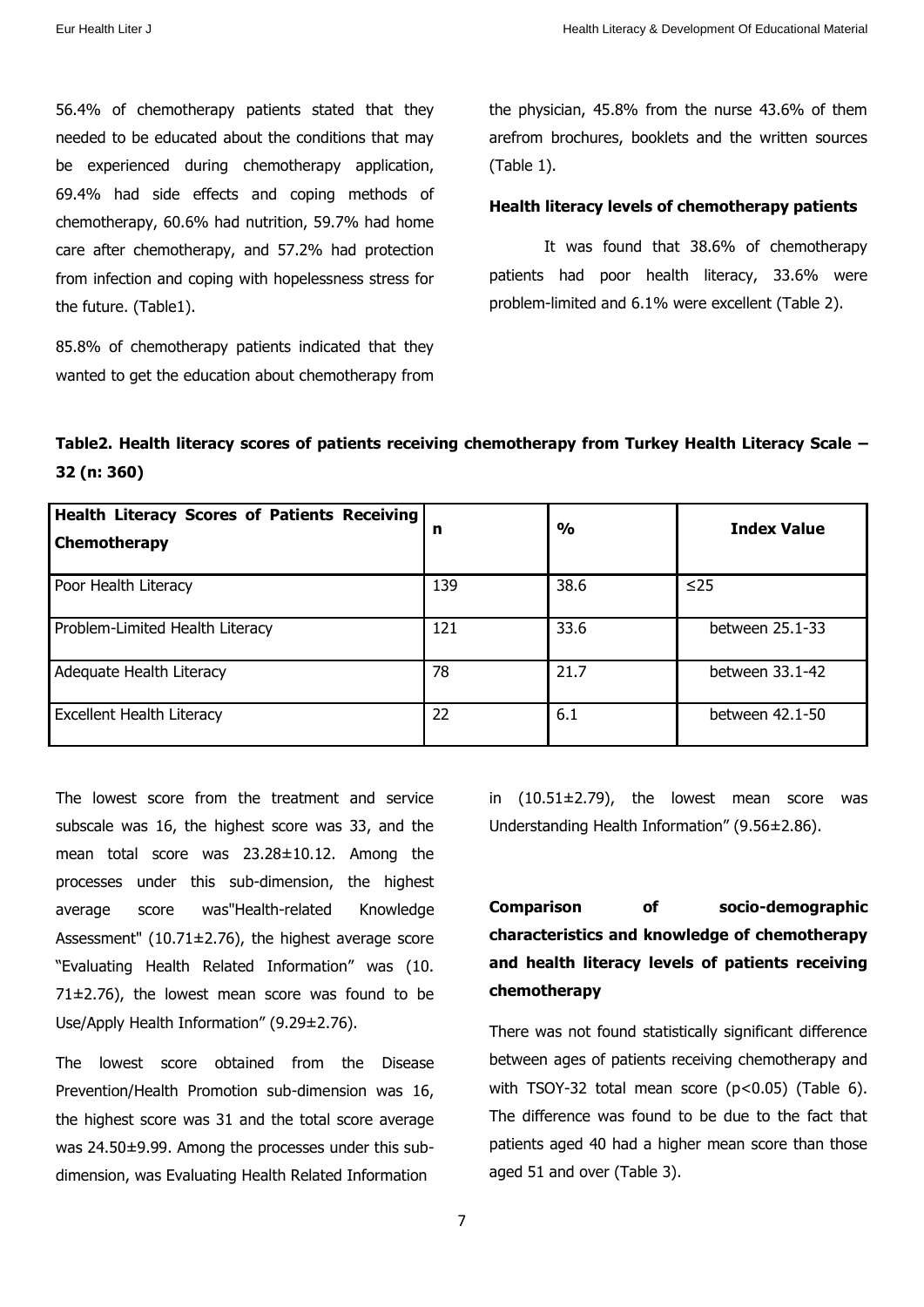56.4% of chemotherapy patients stated that they needed to be educated about the conditions that may be experienced during chemotherapy application, 69.4% had side effects and coping methods of chemotherapy, 60.6% had nutrition, 59.7% had home care after chemotherapy, and 57.2% had protection from infection and coping with hopelessness stress for the future. (Table1).

85.8% of chemotherapy patients indicated that they wanted to get the education about chemotherapy from

the physician, 45.8% from the nurse 43.6% of them arefrom brochures, booklets and the written sources (Table 1).

#### **Health literacy levels of chemotherapy patients**

It was found that 38.6% of chemotherapy patients had poor health literacy, 33.6% were problem-limited and 6.1% were excellent (Table 2).

### **Table2. Health literacy scores of patients receiving chemotherapy from Turkey Health Literacy Scale – 32 (n: 360)**

| Health Literacy Scores of Patients Receiving<br><b>Chemotherapy</b> | n   | $\frac{0}{0}$ | <b>Index Value</b> |
|---------------------------------------------------------------------|-----|---------------|--------------------|
| Poor Health Literacy                                                | 139 | 38.6          | $\leq$ 25          |
| Problem-Limited Health Literacy                                     | 121 | 33.6          | between 25.1-33    |
| Adequate Health Literacy                                            | 78  | 21.7          | between 33.1-42    |
| <b>Excellent Health Literacy</b>                                    | 22  | 6.1           | between 42.1-50    |

The lowest score from the treatment and service subscale was 16, the highest score was 33, and the mean total score was 23.28±10.12. Among the processes under this sub-dimension, the highest average score was"Health-related Knowledge Assessment" (10.71±2.76), the highest average score "Evaluating Health Related Information" was (10.  $71\pm2.76$ ), the lowest mean score was found to be Use/Apply Health Information" (9.29±2.76).

The lowest score obtained from the Disease Prevention/Health Promotion sub-dimension was 16, the highest score was 31 and the total score average was 24.50±9.99. Among the processes under this subdimension, was Evaluating Health Related Information

in (10.51±2.79), the lowest mean score was Understanding Health Information" (9.56±2.86).

# **Comparison of socio-demographic characteristics and knowledge of chemotherapy and health literacy levels of patients receiving chemotherapy**

There was not found statistically significant difference between ages of patients receiving chemotherapy and with TSOY-32 total mean score (p<0.05) (Table 6). The difference was found to be due to the fact that patients aged 40 had a higher mean score than those aged 51 and over (Table 3).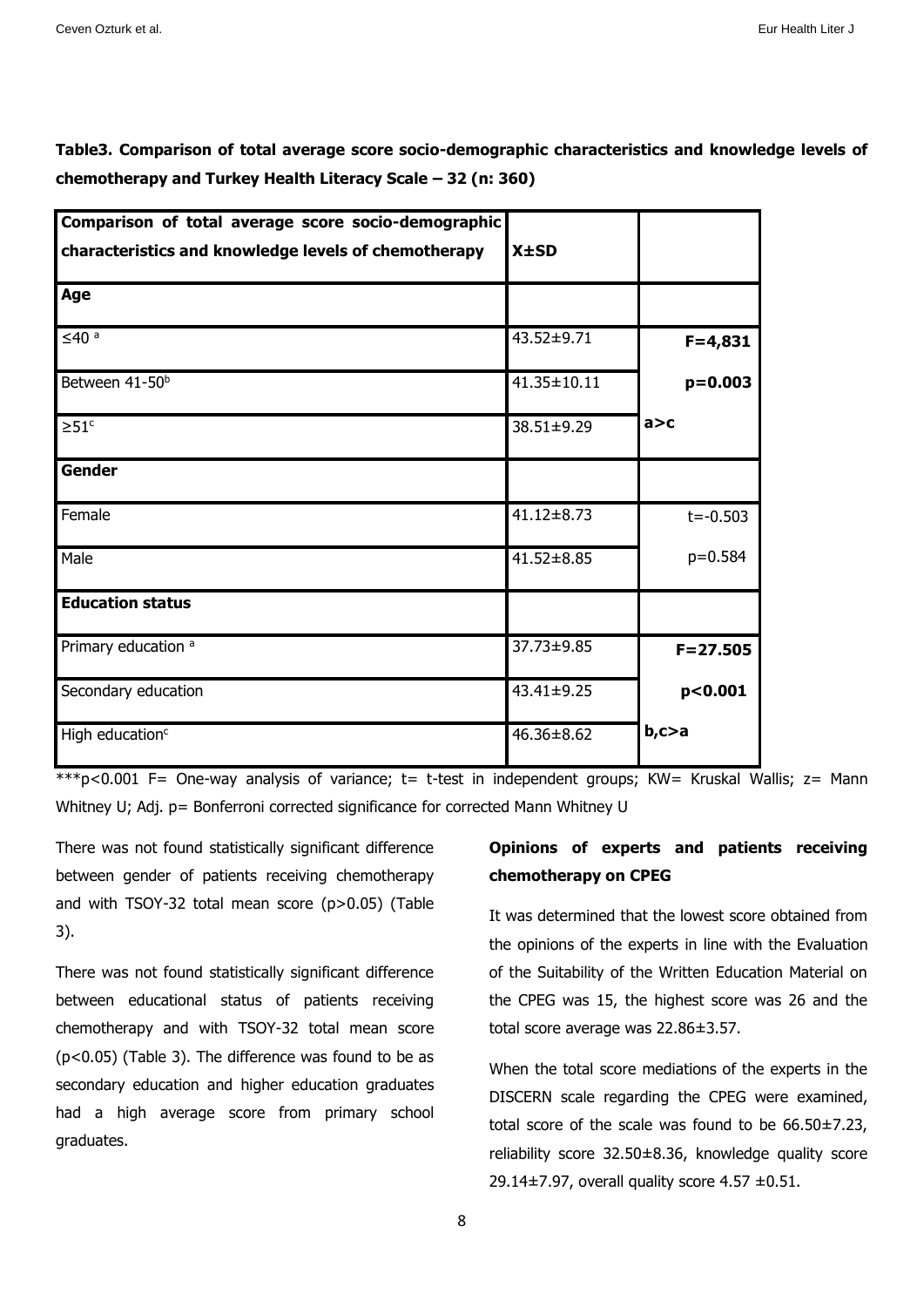**Table3. Comparison of total average score socio-demographic characteristics and knowledge levels of chemotherapy and Turkey Health Literacy Scale – 32 (n: 360)** 

| Comparison of total average score socio-demographic  |                  |              |
|------------------------------------------------------|------------------|--------------|
| characteristics and knowledge levels of chemotherapy | $X \pm SD$       |              |
| Age                                                  |                  |              |
| $≤40a$                                               | 43.52±9.71       | $F = 4,831$  |
| Between 41-50 <sup>b</sup>                           | 41.35±10.11      | $p = 0.003$  |
| $\geq 51$ <sup>c</sup>                               | 38.51±9.29       | a > c        |
| <b>Gender</b>                                        |                  |              |
| Female                                               | $41.12 \pm 8.73$ | $t = -0.503$ |
| Male                                                 | $41.52 \pm 8.85$ | $p=0.584$    |
| <b>Education status</b>                              |                  |              |
| Primary education <sup>a</sup>                       | 37.73±9.85       | $F = 27.505$ |
| Secondary education                                  | 43.41±9.25       | p<0.001      |
| High education <sup>c</sup>                          | 46.36±8.62       | b, c > a     |

\*\*\*p<0.001 F= One-way analysis of variance; t= t-test in independent groups; KW= Kruskal Wallis; z= Mann Whitney U; Adj. p= Bonferroni corrected significance for corrected Mann Whitney U

There was not found statistically significant difference between gender of patients receiving chemotherapy and with TSOY-32 total mean score (p>0.05) (Table 3).

There was not found statistically significant difference between educational status of patients receiving chemotherapy and with TSOY-32 total mean score (p<0.05) (Table 3). The difference was found to be as secondary education and higher education graduates had a high average score from primary school graduates.

### **Opinions of experts and patients receiving chemotherapy on CPEG**

It was determined that the lowest score obtained from the opinions of the experts in line with the Evaluation of the Suitability of the Written Education Material on the CPEG was 15, the highest score was 26 and the total score average was 22.86±3.57.

When the total score mediations of the experts in the DISCERN scale regarding the CPEG were examined, total score of the scale was found to be 66.50±7.23, reliability score 32.50±8.36, knowledge quality score 29.14±7.97, overall quality score 4.57 ±0.51.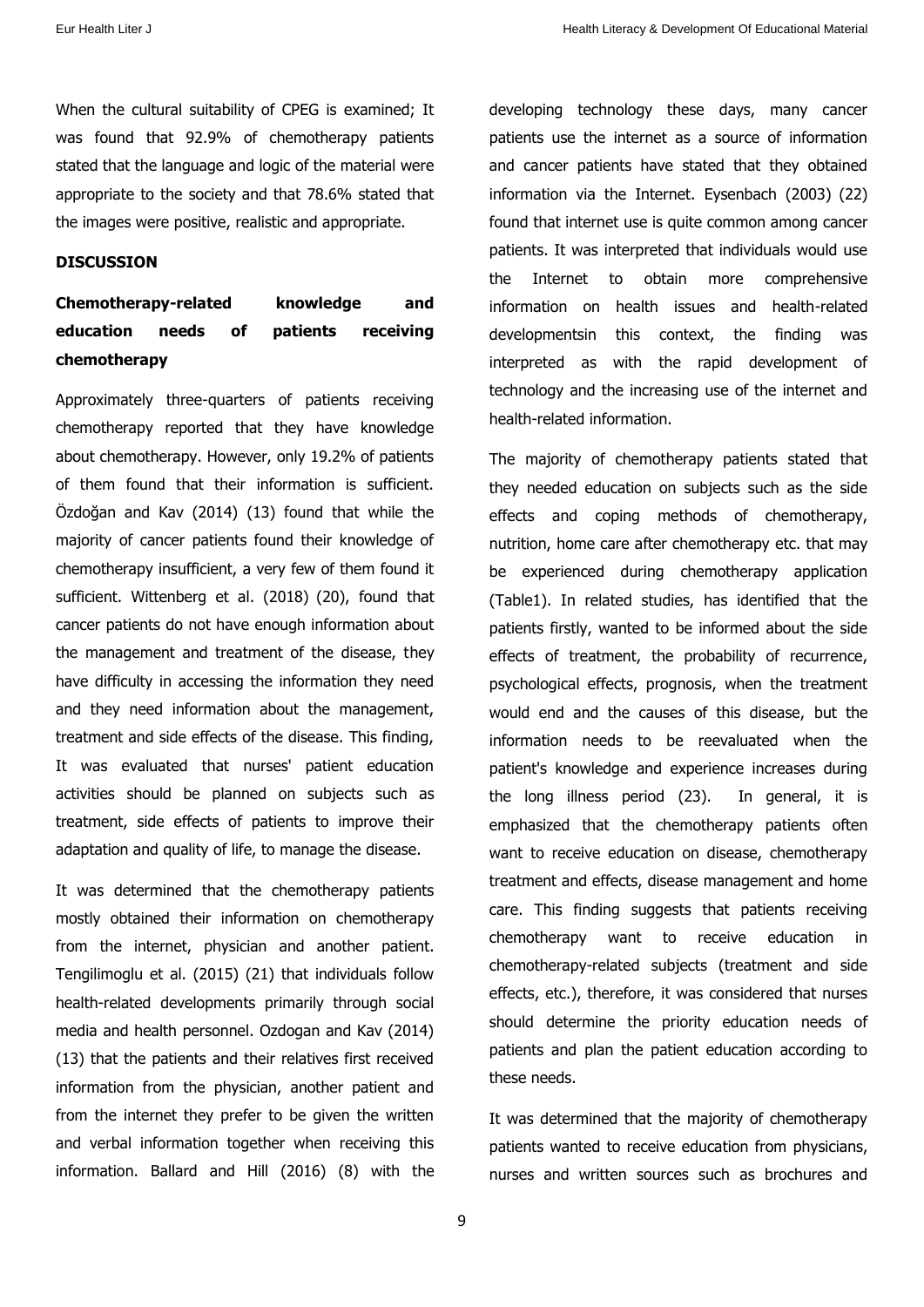When the cultural suitability of CPEG is examined; It was found that 92.9% of chemotherapy patients stated that the language and logic of the material were appropriate to the society and that 78.6% stated that the images were positive, realistic and appropriate.

### **DISCUSSION**

**Chemotherapy-related knowledge and education needs of patients receiving chemotherapy** 

Approximately three-quarters of patients receiving chemotherapy reported that they have knowledge about chemotherapy. However, only 19.2% of patients of them found that their information is sufficient. Özdoğan and Kav (2014) (13) found that while the majority of cancer patients found their knowledge of chemotherapy insufficient, a very few of them found it sufficient. Wittenberg et al. (2018) (20), found that cancer patients do not have enough information about the management and treatment of the disease, they have difficulty in accessing the information they need and they need information about the management, treatment and side effects of the disease. This finding, It was evaluated that nurses' patient education activities should be planned on subjects such as treatment, side effects of patients to improve their adaptation and quality of life, to manage the disease.

It was determined that the chemotherapy patients mostly obtained their information on chemotherapy from the internet, physician and another patient. Tengilimoglu et al. (2015) (21) that individuals follow health-related developments primarily through social media and health personnel. Ozdogan and Kav (2014) (13) that the patients and their relatives first received information from the physician, another patient and from the internet they prefer to be given the written and verbal information together when receiving this information. Ballard and Hill (2016) (8) with the developing technology these days, many cancer patients use the internet as a source of information and cancer patients have stated that they obtained information via the Internet. Eysenbach (2003) (22) found that internet use is quite common among cancer patients. It was interpreted that individuals would use the Internet to obtain more comprehensive information on health issues and health-related developmentsin this context, the finding was interpreted as with the rapid development of technology and the increasing use of the internet and health-related information.

The majority of chemotherapy patients stated that they needed education on subjects such as the side effects and coping methods of chemotherapy, nutrition, home care after chemotherapy etc. that may be experienced during chemotherapy application (Table1). In related studies, has identified that the patients firstly, wanted to be informed about the side effects of treatment, the probability of recurrence, psychological effects, prognosis, when the treatment would end and the causes of this disease, but the information needs to be reevaluated when the patient's knowledge and experience increases during the long illness period (23). In general, it is emphasized that the chemotherapy patients often want to receive education on disease, chemotherapy treatment and effects, disease management and home care. This finding suggests that patients receiving chemotherapy want to receive education in chemotherapy-related subjects (treatment and side effects, etc.), therefore, it was considered that nurses should determine the priority education needs of patients and plan the patient education according to these needs.

It was determined that the majority of chemotherapy patients wanted to receive education from physicians, nurses and written sources such as brochures and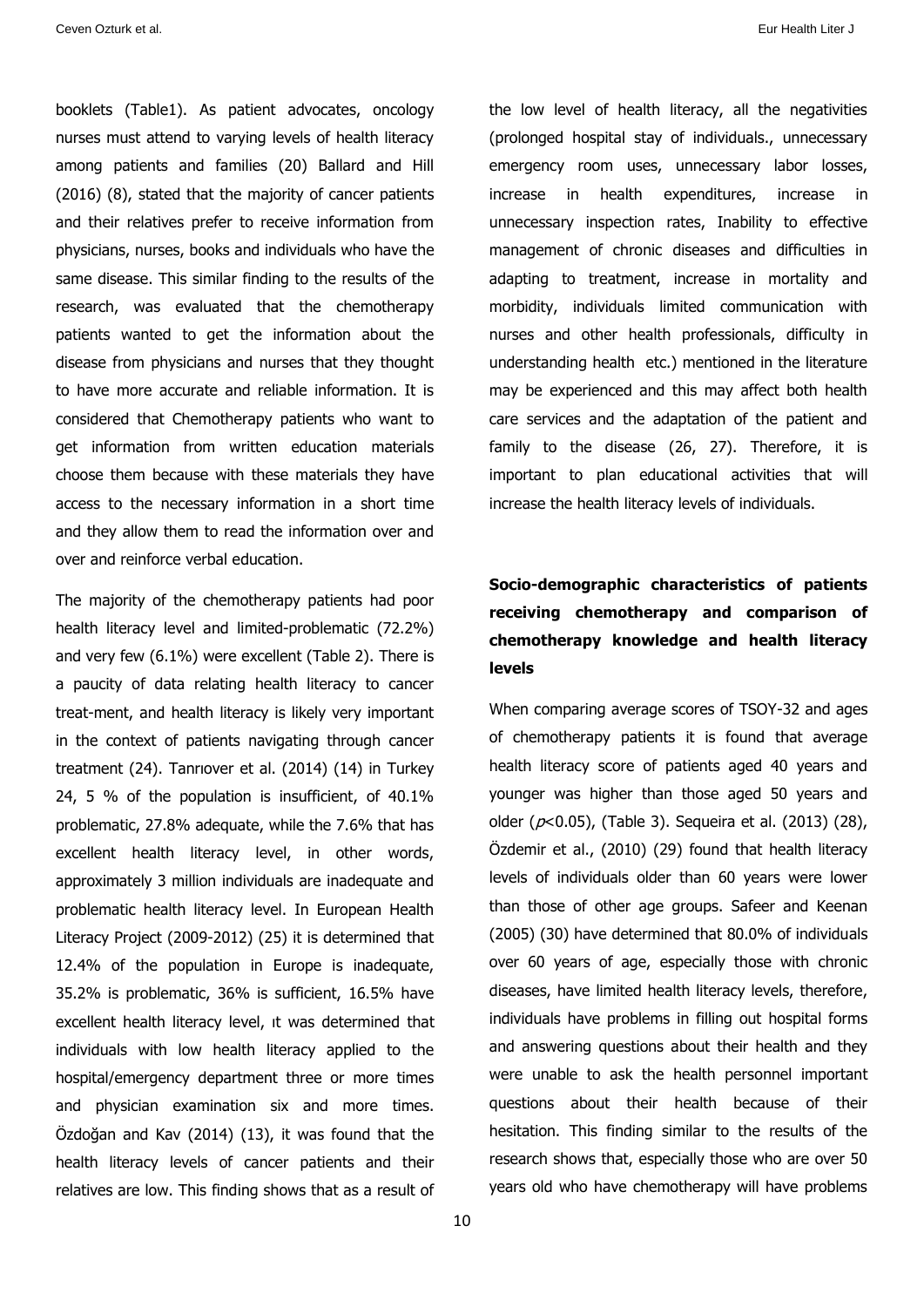booklets (Table1). As patient advocates, oncology nurses must attend to varying levels of health literacy among patients and families (20) Ballard and Hill (2016) (8), stated that the majority of cancer patients and their relatives prefer to receive information from physicians, nurses, books and individuals who have the same disease. This similar finding to the results of the research, was evaluated that the chemotherapy patients wanted to get the information about the disease from physicians and nurses that they thought to have more accurate and reliable information. It is considered that Chemotherapy patients who want to get information from written education materials choose them because with these materials they have access to the necessary information in a short time and they allow them to read the information over and over and reinforce verbal education.

The majority of the chemotherapy patients had poor health literacy level and limited-problematic (72.2%) and very few (6.1%) were excellent (Table 2). There is a paucity of data relating health literacy to cancer treat-ment, and health literacy is likely very important in the context of patients navigating through cancer treatment (24). Tanrıover et al. (2014) (14) in Turkey 24, 5 % of the population is insufficient, of 40.1% problematic, 27.8% adequate, while the 7.6% that has excellent health literacy level, in other words, approximately 3 million individuals are inadequate and problematic health literacy level. In European Health Literacy Project (2009-2012) (25) it is determined that 12.4% of the population in Europe is inadequate, 35.2% is problematic, 36% is sufficient, 16.5% have excellent health literacy level, ıt was determined that individuals with low health literacy applied to the hospital/emergency department three or more times and physician examination six and more times. Özdoğan and Kav (2014) (13), it was found that the health literacy levels of cancer patients and their relatives are low. This finding shows that as a result of the low level of health literacy, all the negativities (prolonged hospital stay of individuals., unnecessary emergency room uses, unnecessary labor losses, increase in health expenditures, increase in unnecessary inspection rates, Inability to effective management of chronic diseases and difficulties in adapting to treatment, increase in mortality and morbidity, individuals limited communication with nurses and other health professionals, difficulty in understanding health etc.) mentioned in the literature may be experienced and this may affect both health care services and the adaptation of the patient and family to the disease (26, 27). Therefore, it is important to plan educational activities that will increase the health literacy levels of individuals.

## **Socio-demographic characteristics of patients receiving chemotherapy and comparison of chemotherapy knowledge and health literacy levels**

When comparing average scores of TSOY-32 and ages of chemotherapy patients it is found that average health literacy score of patients aged 40 years and younger was higher than those aged 50 years and older ( $p$ <0.05), (Table 3). Sequeira et al. (2013) (28), Özdemir et al., (2010) (29) found that health literacy levels of individuals older than 60 years were lower than those of other age groups. Safeer and Keenan (2005) (30) have determined that 80.0% of individuals over 60 years of age, especially those with chronic diseases, have limited health literacy levels, therefore, individuals have problems in filling out hospital forms and answering questions about their health and they were unable to ask the health personnel important questions about their health because of their hesitation. This finding similar to the results of the research shows that, especially those who are over 50 years old who have chemotherapy will have problems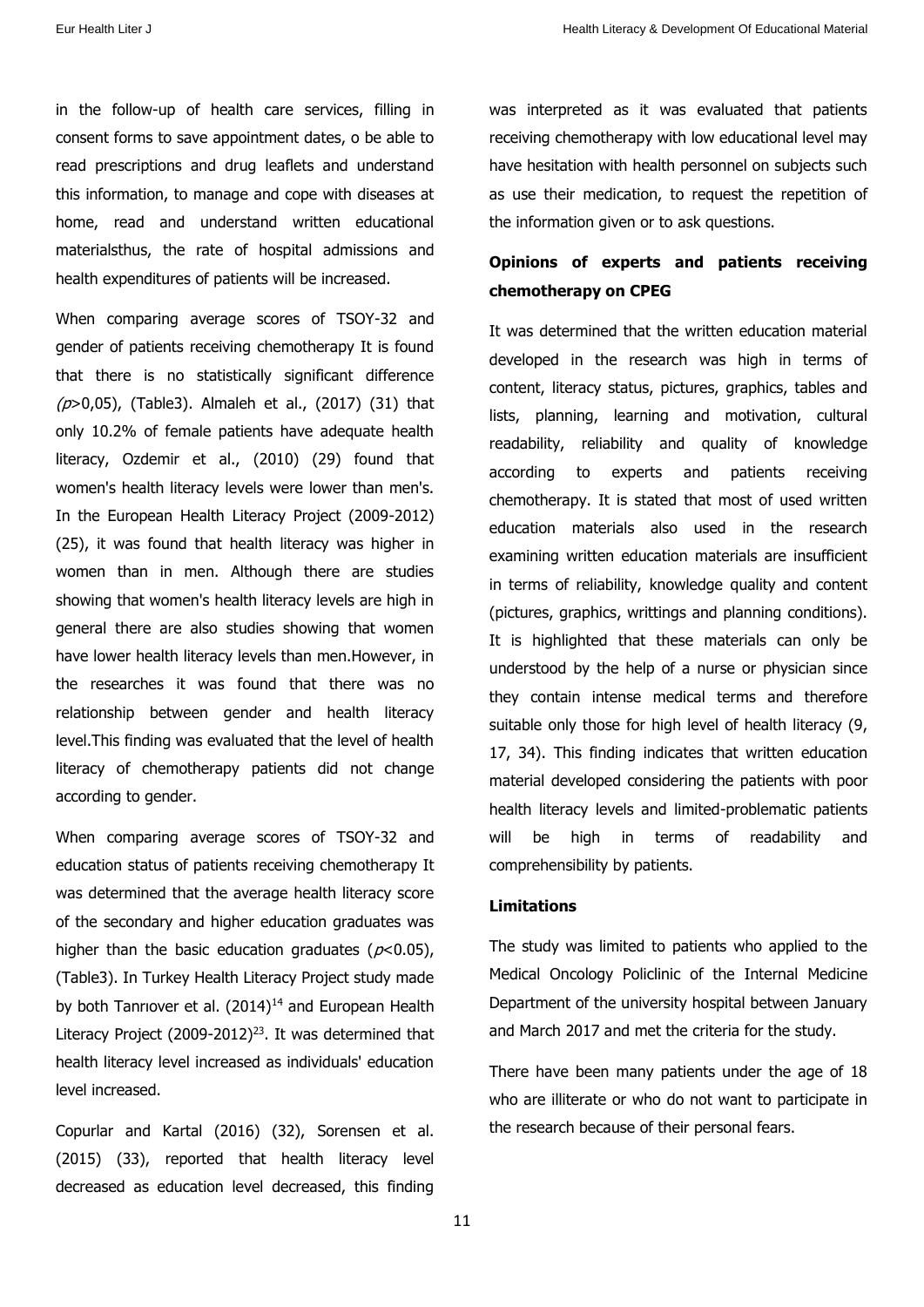in the follow-up of health care services, filling in consent forms to save appointment dates, o be able to read prescriptions and drug leaflets and understand this information, to manage and cope with diseases at home, read and understand written educational materialsthus, the rate of hospital admissions and health expenditures of patients will be increased.

When comparing average scores of TSOY-32 and gender of patients receiving chemotherapy It is found that there is no statistically significant difference  $(p>0.05)$ , (Table3). Almaleh et al., (2017) (31) that only 10.2% of female patients have adequate health literacy, Ozdemir et al., (2010) (29) found that women's health literacy levels were lower than men's. In the European Health Literacy Project (2009-2012) (25), it was found that health literacy was higher in women than in men. Although there are studies showing that women's health literacy levels are high in general there are also studies showing that women have lower health literacy levels than men.However, in the researches it was found that there was no relationship between gender and health literacy level.This finding was evaluated that the level of health literacy of chemotherapy patients did not change according to gender.

When comparing average scores of TSOY-32 and education status of patients receiving chemotherapy It was determined that the average health literacy score of the secondary and higher education graduates was higher than the basic education graduates ( $p<0.05$ ), (Table3). In Turkey Health Literacy Project study made by both Tanriover et al.  $(2014)^{14}$  and European Health Literacy Project (2009-2012)<sup>23</sup>. It was determined that health literacy level increased as individuals' education level increased.

Copurlar and Kartal (2016) (32), Sorensen et al. (2015) (33), reported that health literacy level decreased as education level decreased, this finding was interpreted as it was evaluated that patients receiving chemotherapy with low educational level may have hesitation with health personnel on subjects such as use their medication, to request the repetition of the information given or to ask questions.

### **Opinions of experts and patients receiving chemotherapy on CPEG**

It was determined that the written education material developed in the research was high in terms of content, literacy status, pictures, graphics, tables and lists, planning, learning and motivation, cultural readability, reliability and quality of knowledge according to experts and patients receiving chemotherapy. It is stated that most of used written education materials also used in the research examining written education materials are insufficient in terms of reliability, knowledge quality and content (pictures, graphics, writtings and planning conditions). It is highlighted that these materials can only be understood by the help of a nurse or physician since they contain intense medical terms and therefore suitable only those for high level of health literacy (9, 17, 34). This finding indicates that written education material developed considering the patients with poor health literacy levels and limited-problematic patients will be high in terms of readability and comprehensibility by patients.

#### **Limitations**

The study was limited to patients who applied to the Medical Oncology Policlinic of the Internal Medicine Department of the university hospital between January and March 2017 and met the criteria for the study.

There have been many patients under the age of 18 who are illiterate or who do not want to participate in the research because of their personal fears.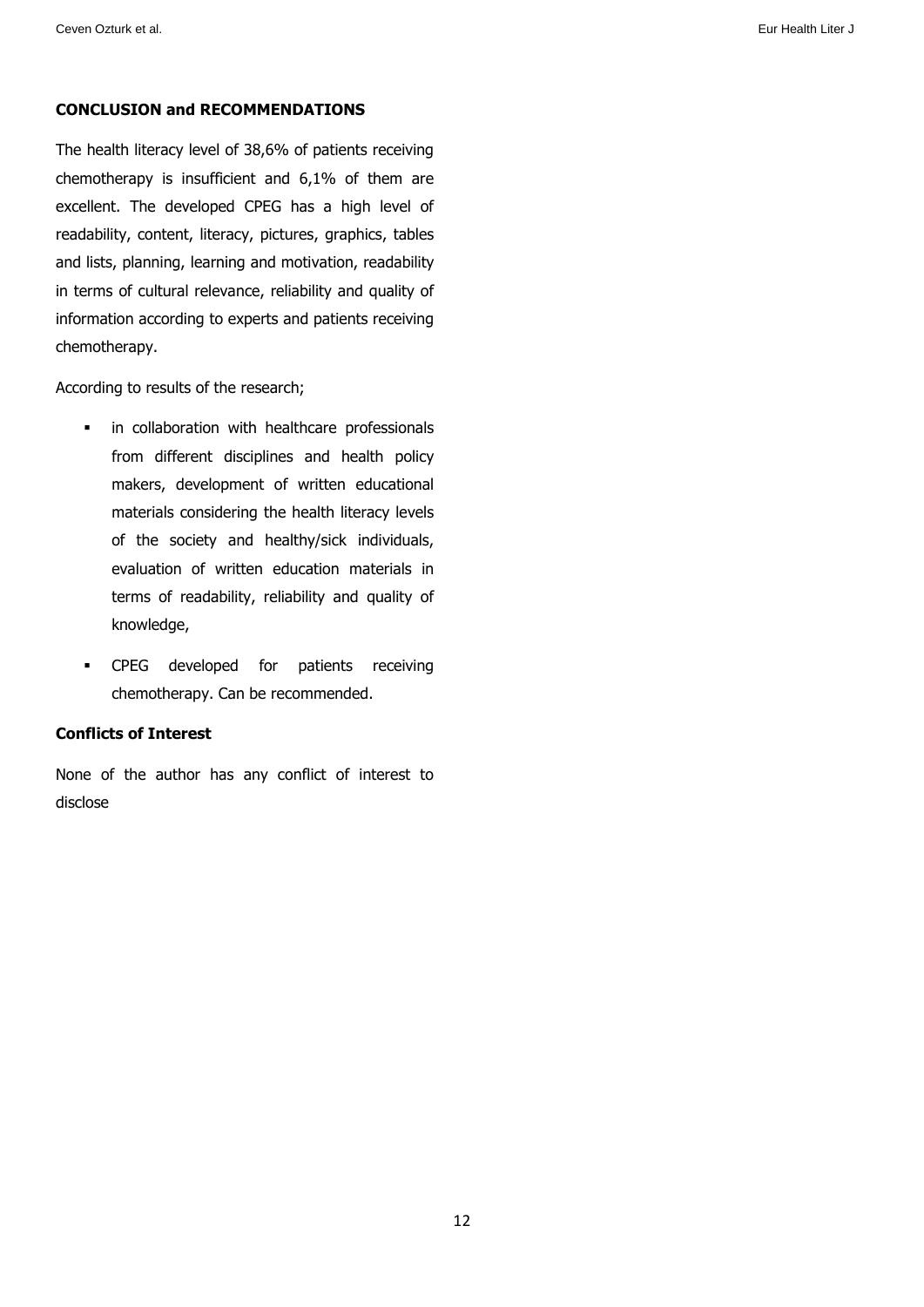### **CONCLUSION and RECOMMENDATIONS**

The health literacy level of 38,6% of patients receiving chemotherapy is insufficient and 6,1% of them are excellent. The developed CPEG has a high level of readability, content, literacy, pictures, graphics, tables and lists, planning, learning and motivation, readability in terms of cultural relevance, reliability and quality of information according to experts and patients receiving chemotherapy.

According to results of the research;

- **i** in collaboration with healthcare professionals from different disciplines and health policy makers, development of written educational materials considering the health literacy levels of the society and healthy/sick individuals, evaluation of written education materials in terms of readability, reliability and quality of knowledge,
- **•** CPEG developed for patients receiving chemotherapy. Can be recommended.

### **Conflicts of Interest**

None of the author has any conflict of interest to disclose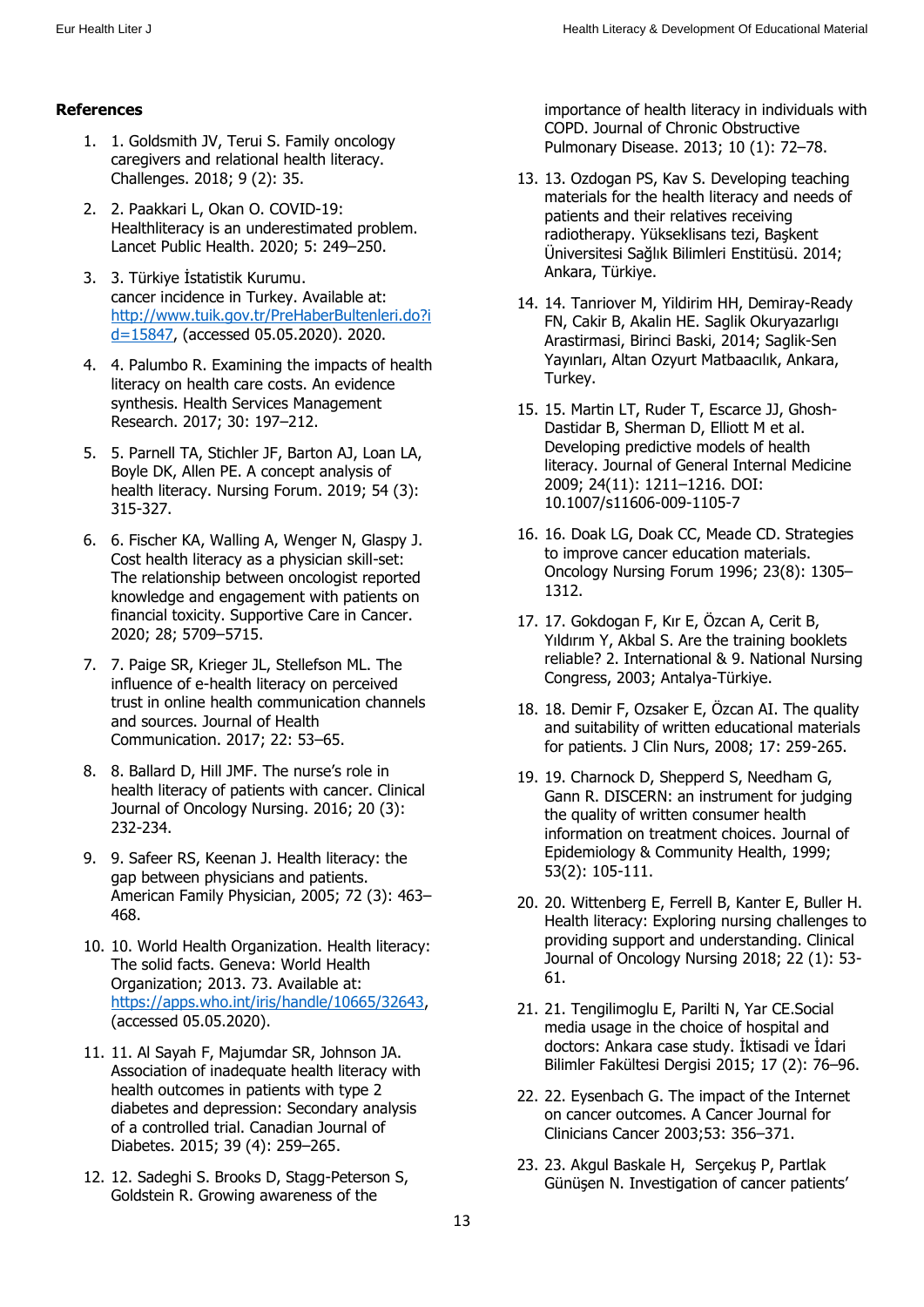### **References**

- 1. 1. Goldsmith JV, Terui S. Family oncology caregivers and relational health literacy. Challenges. 2018; 9 (2): 35.
- 2. 2. Paakkari L, Okan O. COVID-19: Healthliteracy is an underestimated problem. Lancet Public Health. 2020; 5: 249–250.
- 3. 3. Türkiye İstatistik Kurumu. cancer incidence in Turkey. Available at: [http://www.tuik.gov.tr/PreHaberBultenleri.do?i](http://www.tuik.gov.tr/PreHaberBultenleri.do?id=15847) [d=15847,](http://www.tuik.gov.tr/PreHaberBultenleri.do?id=15847) (accessed 05.05.2020). 2020.
- 4. 4. Palumbo R. Examining the impacts of health literacy on health care costs. An evidence synthesis. Health Services Management Research. 2017; 30: 197–212.
- 5. 5. Parnell TA, Stichler JF, Barton AJ, Loan LA, Boyle DK, Allen PE. A concept analysis of health literacy. Nursing Forum. 2019; 54 (3): 315-327.
- 6. 6. Fischer KA, Walling A, Wenger N, Glaspy J. Cost health literacy as a physician skill-set: The relationship between oncologist reported knowledge and engagement with patients on financial toxicity. Supportive Care in Cancer. 2020; 28; 5709–5715.
- 7. 7. Paige SR, Krieger JL, Stellefson ML. The influence of e-health literacy on perceived trust in online health communication channels and sources. Journal of Health Communication. 2017; 22: 53–65.
- 8. 8. Ballard D, Hill JMF. The nurse's role in health literacy of patients with cancer. Clinical Journal of Oncology Nursing. 2016; 20 (3): 232-234.
- 9. 9. Safeer RS, Keenan J. Health literacy: the gap between physicians and patients. American Family Physician, 2005; 72 (3): 463– 468.
- 10. 10. World Health Organization. Health literacy: The solid facts. Geneva: World Health Organization; 2013. 73. Available at: [https://apps.who.int/iris/handle/10665/32643,](https://apps.who.int/iris/handle/10665/32643) (accessed 05.05.2020).
- 11. 11. Al Sayah F, Majumdar SR, Johnson JA. Association of inadequate health literacy with health outcomes in patients with type 2 diabetes and depression: Secondary analysis of a controlled trial. Canadian Journal of Diabetes. 2015; 39 (4): 259–265.
- 12. 12. Sadeghi S. Brooks D, Stagg-Peterson S, Goldstein R. Growing awareness of the

importance of health literacy in individuals with COPD. Journal of Chronic Obstructive Pulmonary Disease. 2013; 10 (1): 72–78.

- 13. 13. Ozdogan PS, Kav S. Developing teaching materials for the health literacy and needs of patients and their relatives receiving radiotherapy. Yükseklisans tezi, Başkent Üniversitesi Sağlık Bilimleri Enstitüsü. 2014; Ankara, Türkiye.
- 14. 14. Tanriover M, Yildirim HH, Demiray-Ready FN, Cakir B, Akalin HE. Saglik Okuryazarlıgı Arastirmasi, Birinci Baski, 2014; Saglik-Sen Yayınları, Altan Ozyurt Matbaacılık, Ankara, Turkey.
- 15. 15. Martin LT, Ruder T, Escarce JJ, Ghosh-Dastidar B, Sherman D, Elliott M et al. Developing predictive models of health literacy. Journal of General Internal Medicine 2009; 24(11): 1211–1216. DOI: 10.1007/s11606-009-1105-7
- 16. 16. Doak LG, Doak CC, Meade CD. Strategies to improve cancer education materials. Oncology Nursing Forum 1996; 23(8): 1305– 1312.
- 17. 17. Gokdogan F, Kır E, Özcan A, Cerit B, Yıldırım Y, Akbal S. Are the training booklets reliable? 2. International & 9. National Nursing Congress, 2003; Antalya-Türkiye.
- 18. 18. Demir F, Ozsaker E, Özcan AI. The quality and suitability of written educational materials for patients. J Clin Nurs, 2008; 17: 259-265.
- 19. 19. Charnock D, Shepperd S, Needham G, Gann R. DISCERN: an instrument for judging the quality of written consumer health information on treatment choices. Journal of Epidemiology & Community Health, 1999; 53(2): 105-111.
- 20. 20. Wittenberg E, Ferrell B, Kanter E, Buller H. Health literacy: Exploring nursing challenges to providing support and understanding. Clinical Journal of Oncology Nursing 2018; 22 (1): 53- 61.
- 21. 21. Tengilimoglu E, Parilti N, Yar CE.Social media usage in the choice of hospital and doctors: Ankara case study. İktisadi ve İdari Bilimler Fakültesi Dergisi 2015; 17 (2): 76–96.
- 22. 22. Eysenbach G. The impact of the Internet on cancer outcomes. A Cancer Journal for Clinicians Cancer 2003;53: 356–371.
- 23. 23. Akgul Baskale H, Serçekuş P, Partlak Günüşen N. Investigation of cancer patients'